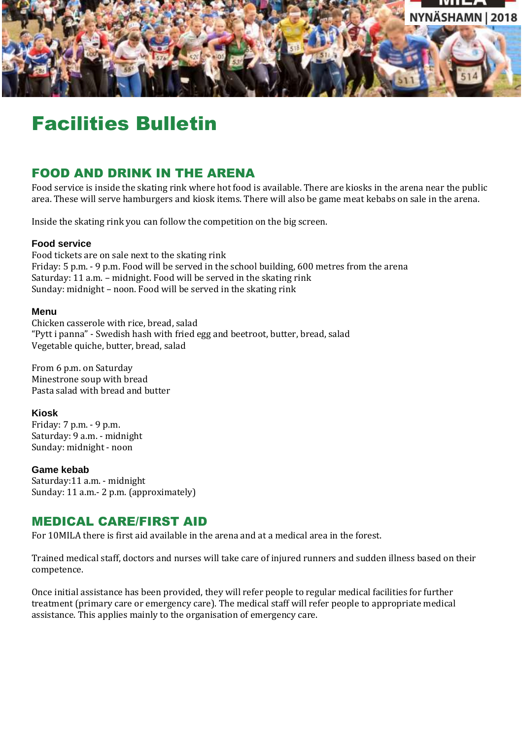

# Facilities Bulletin

# FOOD AND DRINK IN THE ARENA

Food service is inside the skating rink where hot food is available. There are kiosks in the arena near the public area. These will serve hamburgers and kiosk items. There will also be game meat kebabs on sale in the arena.

Inside the skating rink you can follow the competition on the big screen.

## **Food service**

Food tickets are on sale next to the skating rink Friday: 5 p.m. - 9 p.m. Food will be served in the school building, 600 metres from the arena Saturday: 11 a.m. – midnight. Food will be served in the skating rink Sunday: midnight – noon. Food will be served in the skating rink

## **Menu**

Chicken casserole with rice, bread, salad "Pytt i panna" - Swedish hash with fried egg and beetroot, butter, bread, salad Vegetable quiche, butter, bread, salad

From 6 p.m. on Saturday Minestrone soup with bread Pasta salad with bread and butter

## **Kiosk**

Friday: 7 p.m. - 9 p.m. Saturday: 9 a.m. - midnight Sunday: midnight - noon

## **Game kebab**

Saturday:11 a.m. - midnight Sunday: 11 a.m.- 2 p.m. (approximately)

## MEDICAL CARE/FIRST AID

For 10MILA there is first aid available in the arena and at a medical area in the forest.

Trained medical staff, doctors and nurses will take care of injured runners and sudden illness based on their competence.

Once initial assistance has been provided, they will refer people to regular medical facilities for further treatment (primary care or emergency care). The medical staff will refer people to appropriate medical assistance. This applies mainly to the organisation of emergency care.